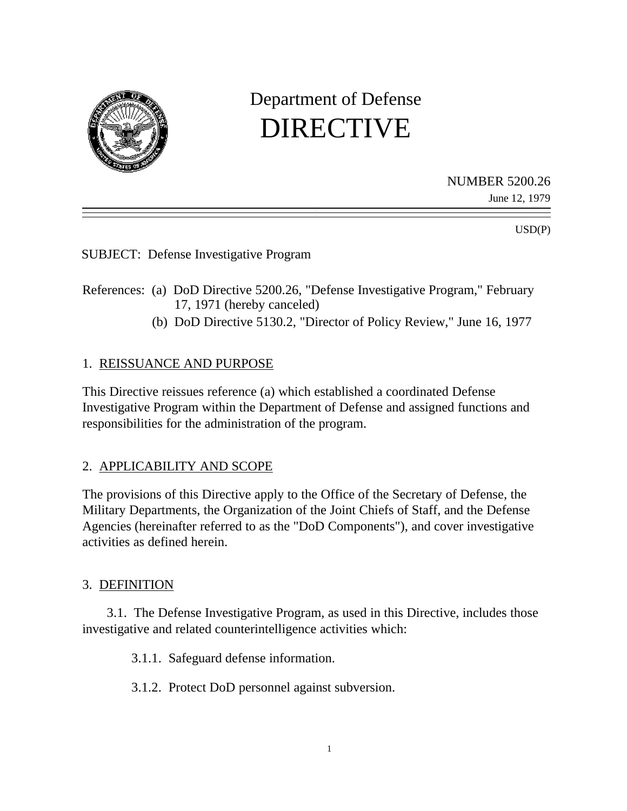

# Department of Defense DIRECTIVE

NUMBER 5200.26

June 12, 1979

 $USD(P)$ 

SUBJECT: Defense Investigative Program

- References: (a) DoD Directive 5200.26, "Defense Investigative Program," February 17, 1971 (hereby canceled)
	- (b) DoD Directive 5130.2, "Director of Policy Review," June 16, 1977

## 1. REISSUANCE AND PURPOSE

This Directive reissues reference (a) which established a coordinated Defense Investigative Program within the Department of Defense and assigned functions and responsibilities for the administration of the program.

## 2. APPLICABILITY AND SCOPE

The provisions of this Directive apply to the Office of the Secretary of Defense, the Military Departments, the Organization of the Joint Chiefs of Staff, and the Defense Agencies (hereinafter referred to as the "DoD Components"), and cover investigative activities as defined herein.

#### 3. DEFINITION

3.1. The Defense Investigative Program, as used in this Directive, includes those investigative and related counterintelligence activities which:

3.1.1. Safeguard defense information.

3.1.2. Protect DoD personnel against subversion.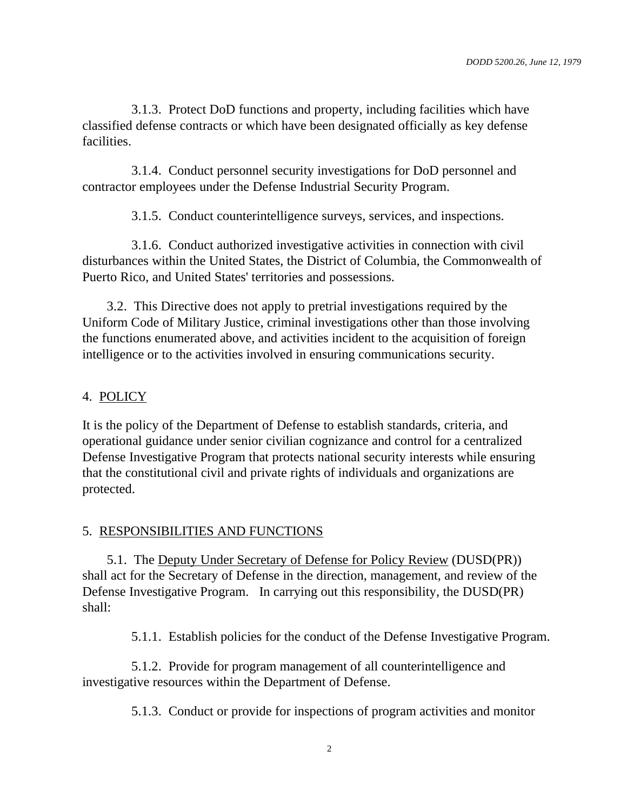3.1.3. Protect DoD functions and property, including facilities which have classified defense contracts or which have been designated officially as key defense facilities.

3.1.4. Conduct personnel security investigations for DoD personnel and contractor employees under the Defense Industrial Security Program.

3.1.5. Conduct counterintelligence surveys, services, and inspections.

3.1.6. Conduct authorized investigative activities in connection with civil disturbances within the United States, the District of Columbia, the Commonwealth of Puerto Rico, and United States' territories and possessions.

3.2. This Directive does not apply to pretrial investigations required by the Uniform Code of Military Justice, criminal investigations other than those involving the functions enumerated above, and activities incident to the acquisition of foreign intelligence or to the activities involved in ensuring communications security.

# 4. POLICY

It is the policy of the Department of Defense to establish standards, criteria, and operational guidance under senior civilian cognizance and control for a centralized Defense Investigative Program that protects national security interests while ensuring that the constitutional civil and private rights of individuals and organizations are protected.

# 5. RESPONSIBILITIES AND FUNCTIONS

5.1. The Deputy Under Secretary of Defense for Policy Review (DUSD(PR)) shall act for the Secretary of Defense in the direction, management, and review of the Defense Investigative Program. In carrying out this responsibility, the DUSD(PR) shall:

5.1.1. Establish policies for the conduct of the Defense Investigative Program.

5.1.2. Provide for program management of all counterintelligence and investigative resources within the Department of Defense.

5.1.3. Conduct or provide for inspections of program activities and monitor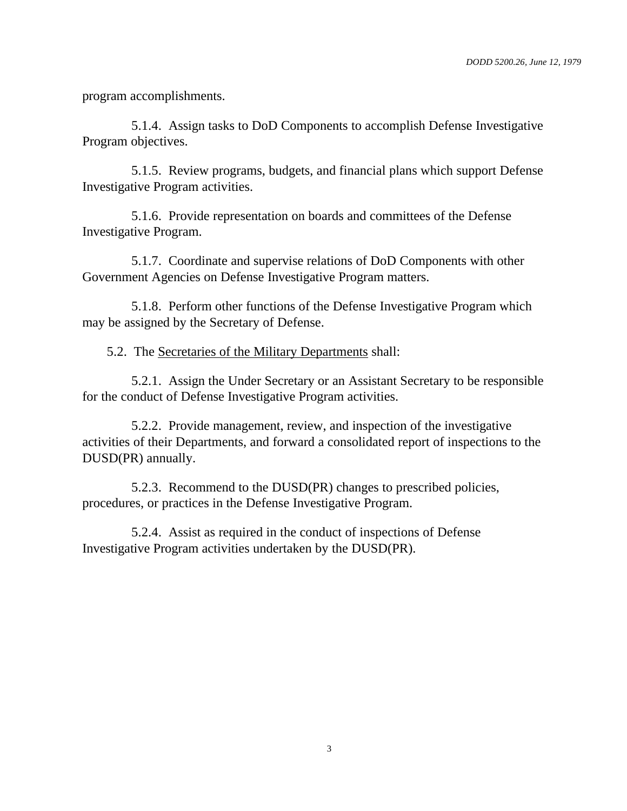program accomplishments.

5.1.4. Assign tasks to DoD Components to accomplish Defense Investigative Program objectives.

5.1.5. Review programs, budgets, and financial plans which support Defense Investigative Program activities.

5.1.6. Provide representation on boards and committees of the Defense Investigative Program.

5.1.7. Coordinate and supervise relations of DoD Components with other Government Agencies on Defense Investigative Program matters.

5.1.8. Perform other functions of the Defense Investigative Program which may be assigned by the Secretary of Defense.

5.2. The Secretaries of the Military Departments shall:

5.2.1. Assign the Under Secretary or an Assistant Secretary to be responsible for the conduct of Defense Investigative Program activities.

5.2.2. Provide management, review, and inspection of the investigative activities of their Departments, and forward a consolidated report of inspections to the DUSD(PR) annually.

5.2.3. Recommend to the DUSD(PR) changes to prescribed policies, procedures, or practices in the Defense Investigative Program.

5.2.4. Assist as required in the conduct of inspections of Defense Investigative Program activities undertaken by the DUSD(PR).